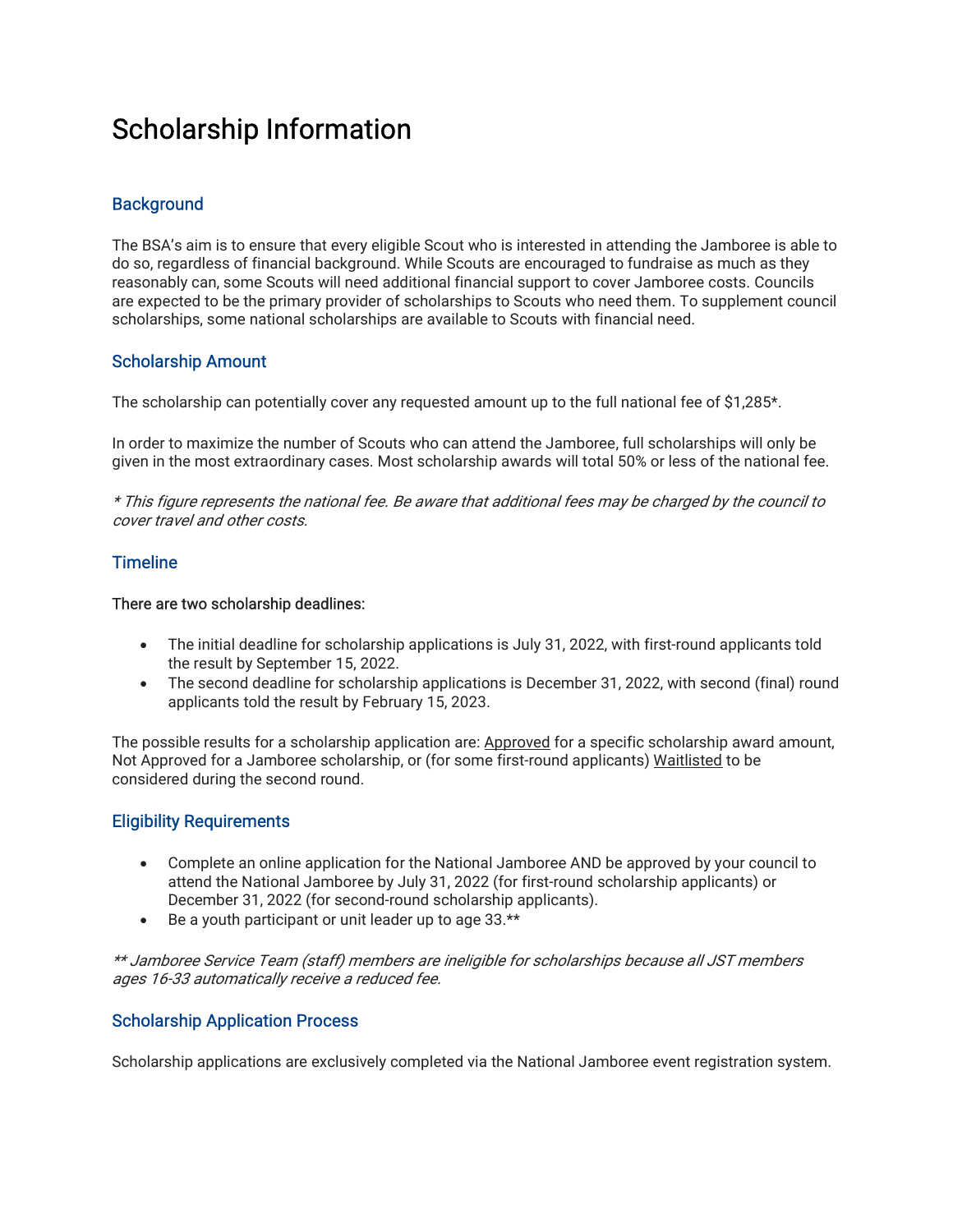# Scholarship Information

## **Background**

The BSA's aim is to ensure that every eligible Scout who is interested in attending the Jamboree is able to do so, regardless of financial background. While Scouts are encouraged to fundraise as much as they reasonably can, some Scouts will need additional financial support to cover Jamboree costs. Councils are expected to be the primary provider of scholarships to Scouts who need them. To supplement council scholarships, some national scholarships are available to Scouts with financial need.

## Scholarship Amount

The scholarship can potentially cover any requested amount up to the full national fee of \$1,285\*.

In order to maximize the number of Scouts who can attend the Jamboree, full scholarships will only be given in the most extraordinary cases. Most scholarship awards will total 50% or less of the national fee.

\* This figure represents the national fee. Be aware that additional fees may be charged by the council to cover travel and other costs.

## **Timeline**

#### There are two scholarship deadlines:

- The initial deadline for scholarship applications is July 31, 2022, with first-round applicants told the result by September 15, 2022.
- The second deadline for scholarship applications is December 31, 2022, with second (final) round applicants told the result by February 15, 2023.

The possible results for a scholarship application are: Approved for a specific scholarship award amount, Not Approved for a Jamboree scholarship, or (for some first-round applicants) Waitlisted to be considered during the second round.

### Eligibility Requirements

- Complete an online application for the National Jamboree AND be approved by your council to attend the National Jamboree by July 31, 2022 (for first-round scholarship applicants) or December 31, 2022 (for second-round scholarship applicants).
- Be a youth participant or unit leader up to age 33.\*\*

\*\* Jamboree Service Team (staff) members are ineligible for scholarships because all JST members ages 16-33 automatically receive a reduced fee.

## Scholarship Application Process

Scholarship applications are exclusively completed via the National Jamboree event registration system.